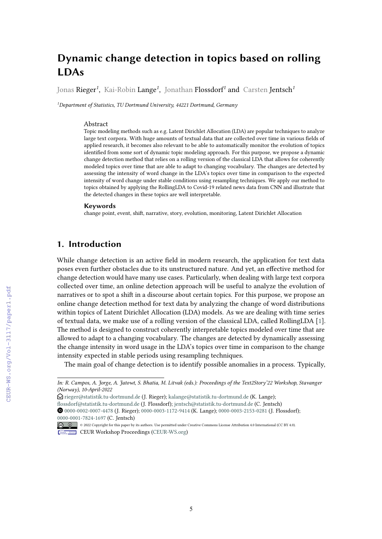# **Dynamic change detection in topics based on rolling LDAs**

Jonas Rieger*<sup>1</sup>* , Kai-Robin Lange*<sup>1</sup>* , Jonathan Flossdorf*<sup>1</sup>* and Carsten Jentsch*<sup>1</sup>*

*1 Department of Statistics, TU Dortmund University, 44221 Dortmund, Germany*

#### Abstract

Topic modeling methods such as e.g. Latent Dirichlet Allocation (LDA) are popular techniques to analyze large text corpora. With huge amounts of textual data that are collected over time in various felds of applied research, it becomes also relevant to be able to automatically monitor the evolution of topics identifed from some sort of dynamic topic modeling approach. For this purpose, we propose a dynamic change detection method that relies on a rolling version of the classical LDA that allows for coherently modeled topics over time that are able to adapt to changing vocabulary. The changes are detected by assessing the intensity of word change in the LDA's topics over time in comparison to the expected intensity of word change under stable conditions using resampling techniques. We apply our method to topics obtained by applying the RollingLDA to Covid-19 related news data from CNN and illustrate that the detected changes in these topics are well interpretable.

#### **Keywords**

change point, event, shif, narrative, story, evolution, monitoring, Latent Dirichlet Allocation

# **1. Introduction**

While change detection is an active feld in modern research, the application for text data poses even further obstacles due to its unstructured nature. And yet, an efective method for change detection would have many use cases. Particularly, when dealing with large text corpora collected over time, an online detection approach will be useful to analyze the evolution of narratives or to spot a shift in a discourse about certain topics. For this purpose, we propose an online change detection method for text data by analyzing the change of word distributions within topics of Latent Dirichlet Allocation (LDA) models. As we are dealing with time series of textual data, we make use of a rolling version of the classical LDA, called RollingLDA [\[1\]](#page--1-0). The method is designed to construct coherently interpretable topics modeled over time that are allowed to adapt to a changing vocabulary. The changes are detected by dynamically assessing the change intensity in word usage in the LDA's topics over time in comparison to the change intensity expected in stable periods using resampling techniques.

The main goal of change detection is to identify possible anomalies in a process. Typically,

*In: R. Campos, A. Jorge, A. Jatowt, S. Bhatia, M. Litvak (eds.): Proceedings of the Text2Story'22 Workshop, Stavanger (Norway), 10-April-2022*

 $\bigcirc$  [rieger@statistik.tu-dortmund.de](mailto:rieger@statistik.tu-dortmund.de) (J. Rieger); [kalange@statistik.tu-dortmund.de](mailto:kalange@statistik.tu-dortmund.de) (K. Lange);

[fossdorf@statistik.tu-dortmund.de](mailto:flossdorf@statistik.tu-dortmund.de) (J. Flossdorf); [jentsch@statistik.tu-dortmund.de](mailto:jentsch@statistik.tu-dortmund.de) (C. Jentsch)

ȉ [0000-0002-0007-4478](https://orcid.org/0000-0002-0007-4478) (J. Rieger); [0000-0003-1172-9414](https://orcid.org/0000-0003-1172-9414) (K. Lange); [0000-0003-2153-0281](https://orcid.org/0000-0003-2153-0281) (J. Flossdorf); [0000-0001-7824-1697](https://orcid.org/0000-0001-7824-1697) (C. Jentsch)

<sup>© 2022</sup> Copyright for this paper by its authors. Use permitted under Creative Commons License Attribution 4.0 International (CC BY 4.0). Workshop [Proceedings](http://ceur-ws.org) **EDIA** CEUR Workshop Proceedings [\(CEUR-WS.org\)](http://ceur-ws.org)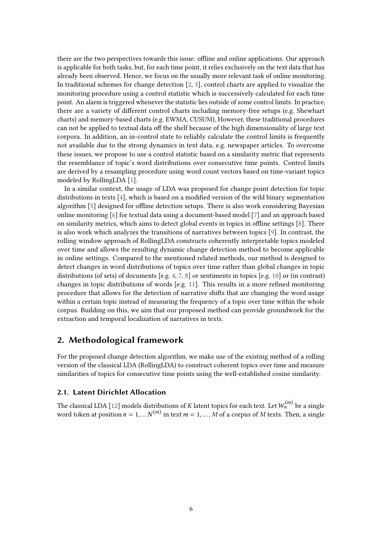there are the two perspectives towards this issue: ofine and online applications. Our approach is applicable for both tasks, but, for each time point, it relies exclusively on the text data that has already been observed. Hence, we focus on the usually more relevant task of online monitoring. In traditional schemes for change detection [\[2,](#page-7-0) [3\]](#page-7-1), control charts are applied to visualize the monitoring procedure using a control statistic which is successively calculated for each time point. An alarm is triggered whenever the statistic lies outside of some control limits. In practice, there are a variety of diferent control charts including memory-free setups (e.g. Shewhart charts) and memory-based charts (e.g. EWMA, CUSUM), However, these traditional procedures can not be applied to textual data off the shelf because of the high dimensionality of large text corpora. In addition, an in-control state to reliably calculate the control limits is frequently not available due to the strong dynamics in text data, e.g. newspaper articles. To overcome these issues, we propose to use a control statistic based on a similarity metric that represents the resemblance of topic's word distributions over consecutive time points. Control limits are derived by a resampling procedure using word count vectors based on time-variant topics modeled by RollingLDA [\[1\]](#page-7-2).

In a similar context, the usage of LDA was proposed for change point detection for topic distributions in texts [\[4\]](#page-8-0), which is based on a modifed version of the wild binary segmentation algorithm [\[5\]](#page-8-1) designed for offline detection setups. There is also work considering Bayesian online monitoring [\[6\]](#page-8-2) for textual data using a document-based model [\[7\]](#page-8-3) and an approach based on similarity metrics, which aims to detect global events in topics in ofine settings [\[8\]](#page-8-4). There is also work which analyzes the transitions of narratives between topics [\[9\]](#page-8-5). In contrast, the rolling window approach of RollingLDA constructs coherently interpretable topics modeled over time and allows the resulting dynamic change detection method to become applicable in online settings. Compared to the mentioned related methods, our method is designed to detect changes in word distributions of topics over time rather than global changes in topic distributions (of sets) of documents [e.g. [4,](#page-8-0) [7,](#page-8-3) [8\]](#page-8-4) or sentiments in topics [e.g. [10\]](#page-8-6) or (in contrast) changes in topic distributions of words [e.g. [11\]](#page-8-7). This results in a more refned monitoring procedure that allows for the detection of narrative shifs that are changing the word usage within a certain topic instead of measuring the frequency of a topic over time within the whole corpus. Building on this, we aim that our proposed method can provide groundwork for the extraction and temporal localization of narratives in texts.

# **2. Methodological framework**

For the proposed change detection algorithm, we make use of the existing method of a rolling version of the classical LDA (RollingLDA) to construct coherent topics over time and measure similarities of topics for consecutive time points using the well-established cosine similarity.

#### <span id="page-1-0"></span>**2.1. Latent Dirichlet Allocation**

The classical LDA [\[12\]](#page-8-8) models distributions of  $K$  latent topics for each text. Let  $W_n^{(m)}$  be a single word token at position  $n = 1, ..., N^{(m)}$  in text  $m = 1, ..., M$  of a corpus of M texts. Then, a single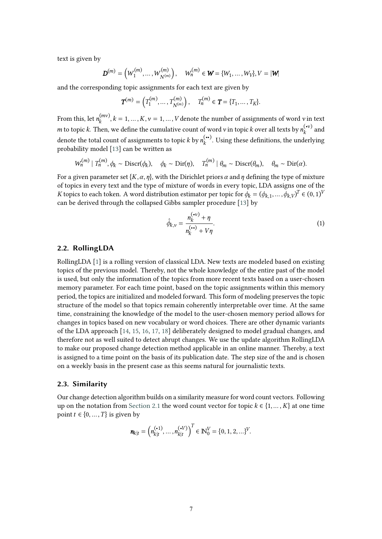text is given by

$$
\mathbf{D}^{(m)} = (W_1^{(m)}, \dots, W_{N^{(m)}}^{(m)}), \quad W_n^{(m)} \in \mathbf{W} = \{W_1, \dots, W_V\}, V = |\mathbf{W}|
$$

and the corresponding topic assignments for each text are given by

$$
T^{(m)} = \left(T_1^{(m)}, \ldots, T_{N^{(m)}}^{(m)}\right), \quad T_n^{(m)} \in T = \{T_1, \ldots, T_K\}.
$$

From this, let  $n_k^{(mv)}, k = 1, ..., K, \nu = 1, ..., V$  denote the number of assignments of word  $\nu$  in text *m* to topic *k*. Then, we define the cumulative count of word *v* in topic *k* over all texts by  $n_k^{(\cdot v)}$  and denote the total count of assignments to topic  $k$  by  $n_k^{(\bullet\bullet)}$ . Using these definitions, the underlying probability model [\[13\]](#page-8-9) can be written as

$$
W_n^{(m)} | T_n^{(m)}, \phi_k \sim \text{Discr}(\phi_k), \quad \phi_k \sim \text{Dir}(\eta), \quad T_n^{(m)} | \theta_m \sim \text{Discr}(\theta_m), \quad \theta_m \sim \text{Dir}(\alpha).
$$

For a given parameter set  $\{K, \alpha, \eta\}$ , with the Dirichlet priors  $\alpha$  and  $\eta$  defining the type of mixture of topics in every text and the type of mixture of words in every topic, LDA assigns one of the K topics to each token. A word distribution estimator per topic for  $\phi_k = (\phi_{k,1}, \dots, \phi_{k,V})^T \in (0,1)^V$ can be derived through the collapsed Gibbs sampler procedure [\[13\]](#page-8-9) by

<span id="page-2-0"></span>
$$
\hat{\phi}_{k,v} = \frac{n_k^{(\mathbf{\cdot} v)} + \eta}{n_k^{(\mathbf{\cdot} \mathbf{\cdot})} + V\eta}.\tag{1}
$$

#### **2.2. RollingLDA**

RollingLDA [\[1\]](#page-7-2) is a rolling version of classical LDA. New texts are modeled based on existing topics of the previous model. Thereby, not the whole knowledge of the entire past of the model is used, but only the information of the topics from more recent texts based on a user-chosen memory parameter. For each time point, based on the topic assignments within this memory period, the topics are initialized and modeled forward. This form of modeling preserves the topic structure of the model so that topics remain coherently interpretable over time. At the same time, constraining the knowledge of the model to the user-chosen memory period allows for changes in topics based on new vocabulary or word choices. There are other dynamic variants of the LDA approach [\[14,](#page-8-10) [15,](#page-8-11) [16,](#page-8-12) [17,](#page-8-13) [18\]](#page-8-14) deliberately designed to model gradual changes, and therefore not as well suited to detect abrupt changes. We use the update algorithm RollingLDA to make our proposed change detection method applicable in an online manner. Thereby, a text is assigned to a time point on the basis of its publication date. The step size of the and is chosen on a weekly basis in the present case as this seems natural for journalistic texts.

#### **2.3. Similarity**

Our change detection algorithm builds on a similarity measure for word count vectors. Following up on the notation from [Section 2.1](#page-1-0) the word count vector for topic  $k \in \{1, ..., K\}$  at one time point  $t \in \{0, ..., T\}$  is given by

$$
\mathbf{n}_{k|t} = \left( n_{k|t}^{(\bullet 1)}, \dots, n_{k|t}^{(\bullet V)} \right)^T \in \mathbb{N}_0^V = \{0, 1, 2, \dots\}^V.
$$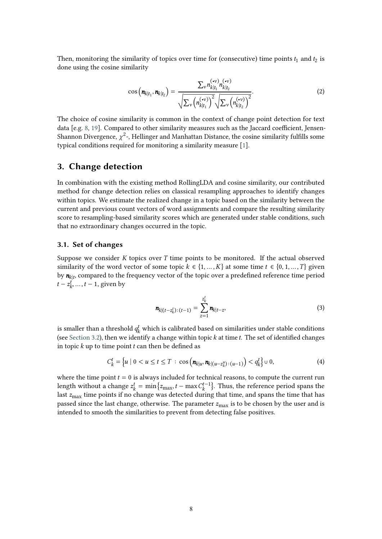Then, monitoring the similarity of topics over time for (consecutive) time points  $t_1$  and  $t_2$  is done using the cosine similarity

$$
\cos\left(\boldsymbol{n}_{k|t_1}, \boldsymbol{n}_{k|t_2}\right) = \frac{\sum_{\nu} n_{k|t_1}^{(\nu)} n_{k|t_2}^{(\nu)}}{\sqrt{\sum_{\nu} \left(n_{k|t_1}^{(\nu)}\right)^2} \sqrt{\sum_{\nu} \left(n_{k|t_2}^{(\nu)}\right)^2}}.
$$
\n(2)

The choice of cosine similarity is common in the context of change point detection for text data  $[e.g. 8, 19]$  $[e.g. 8, 19]$  $[e.g. 8, 19]$  $[e.g. 8, 19]$ . Compared to other similarity measures such as the Jaccard coefficient, Jensen-Shannon Divergence,  $\chi^2$ -, Hellinger and Manhattan Distance, the cosine similarity fulfills some typical conditions required for monitoring a similarity measure [\[1\]](#page-7-2).

### **3. Change detection**

In combination with the existing method RollingLDA and cosine similarity, our contributed method for change detection relies on classical resampling approaches to identify changes within topics. We estimate the realized change in a topic based on the similarity between the current and previous count vectors of word assignments and compare the resulting similarity score to resampling-based similarity scores which are generated under stable conditions, such that no extraordinary changes occurred in the topic.

#### **3.1. Set of changes**

Suppose we consider  $K$  topics over  $T$  time points to be monitored. If the actual observed similarity of the word vector of some topic  $k \in \{1, ..., K\}$  at some time  $t \in \{0, 1, ..., T\}$  given by  $n_{k|t}$ , compared to the frequency vector of the topic over a predefined reference time period  $t - z_k^t, \ldots, t - 1$ , given by

<span id="page-3-0"></span>
$$
\mathbf{n}_{k|(t-z_k^t):(t-1)} = \sum_{z=1}^{z_k^t} \mathbf{n}_{k|t-z},
$$
\n(3)

is smaller than a threshold  $q_k^t$  which is calibrated based on similarities under stable conditions (see [Section 3.2\)](#page-4-0), then we identify a change within topic  $k$  at time  $t$ . The set of identified changes in topic  $k$  up to time point  $t$  can then be defined as

$$
C_k^t = \left\{ u \mid 0 < u \le t \le T \, : \, \cos \left( \mathbf{n}_{k|u}, \mathbf{n}_{k|(u-z_k^u): (u-1)} \right) < q_k^t \right\} \cup 0,\tag{4}
$$

where the time point  $t=0$  is always included for technical reasons, to compute the current run length without a change  $z_k^t = \min\{z_{\max}, t - \max C_k^{t-1}\}$ . Thus, the reference period spans the last  $z_{\text{max}}$  time points if no change was detected during that time, and spans the time that has passed since the last change, otherwise. The parameter  $z_{\text{max}}$  is to be chosen by the user and is intended to smooth the similarities to prevent from detecting false positives.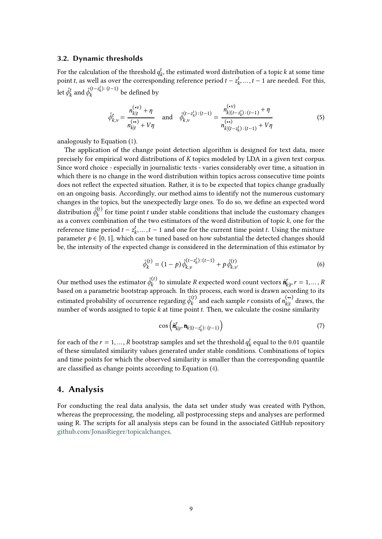#### <span id="page-4-0"></span>**3.2. Dynamic thresholds**

For the calculation of the threshold  $q_k^t$ , the estimated word distribution of a topic  $k$  at some time point *t*, as well as over the corresponding reference period  $t - z_k^t, \ldots, t - 1$  are needed. For this, let  $\hat{\phi}^t_k$  and  $\hat{\phi}^{(t-z^t_k):(t-1)}_k$  be defined by

$$
\hat{\phi}_{k,v}^t = \frac{n_{k|t}^{(\mathbf{v})} + \eta}{n_{k|t}^{(\mathbf{v})} + V\eta} \quad \text{and} \quad \hat{\phi}_{k,v}^{(t-z_k^t):(t-1)} = \frac{n_{k|(t-z_k^t):(t-1)}^{(\mathbf{v})} + \eta}{n_{k|(t-z_k^t):(t-1)}^{(\mathbf{v})} + V\eta}
$$
(5)

analogously to Equation [\(1\)](#page-2-0).

The application of the change point detection algorithm is designed for text data, more precisely for empirical word distributions of  $K$  topics modeled by LDA in a given text corpus. Since word choice - especially in journalistic texts - varies considerably over time, a situation in which there is no change in the word distribution within topics across consecutive time points does not refect the expected situation. Rather, it is to be expected that topics change gradually on an ongoing basis. Accordingly, our method aims to identify not the numerous customary changes in the topics, but the unexpectedly large ones. To do so, we defne an expected word distribution  $\tilde{\phi}_k^{(t)}$  for time point *t* under stable conditions that include the customary changes as a convex combination of the two estimators of the word distribution of topic  $k$ , one for the reference time period  $t - z_k^t, ..., t - 1$  and one for the current time point t. Using the mixture parameter  $p \in [0, 1]$ , which can be tuned based on how substantial the detected changes should be, the intensity of the expected change is considered in the determination of this estimator by

$$
\tilde{\phi}_{k}^{(t)} = (1 - p)\,\hat{\phi}_{k,v}^{(t - z_k^t) : (t - 1)} + p\,\hat{\phi}_{k,v}^{(t)}.\tag{6}
$$

Our method uses the estimator  $\tilde{\phi}_k^{(t)}$  to simulate R expected word count vectors  $\tilde{\bm{n}}_{k|t'}^r r = 1, \dots, R$ based on a parametric bootstrap approach. In this process, each word is drawn according to its estimated probability of occurrence regarding  $\tilde{\phi}_k^{(t)}$  and each sample *r* consists of  $n_{k|t}^{(\bullet)}$  draws, the number of words assigned to topic  $k$  at time point  $t$ . Then, we calculate the cosine similarity

$$
\cos\left(\tilde{\boldsymbol{n}}_{k|t}^r, \boldsymbol{n}_{k|(t-z_k^t):(t-1)}\right) \tag{7}
$$

for each of the  $r = 1, ..., R$  bootstrap samples and set the threshold  $q_k^t$  equal to the 0.01 quantile of these simulated similarity values generated under stable conditions. Combinations of topics and time points for which the observed similarity is smaller than the corresponding quantile are classifed as change points according to Equation [\(4\)](#page-3-0).

### **4. Analysis**

For conducting the real data analysis, the data set under study was created with Python, whereas the preprocessing, the modeling, all postprocessing steps and analyses are performed using R. The scripts for all analysis steps can be found in the associated GitHub repository [github.com/JonasRieger/topicalchanges.](https://github.com/JonasRieger/topicalchanges)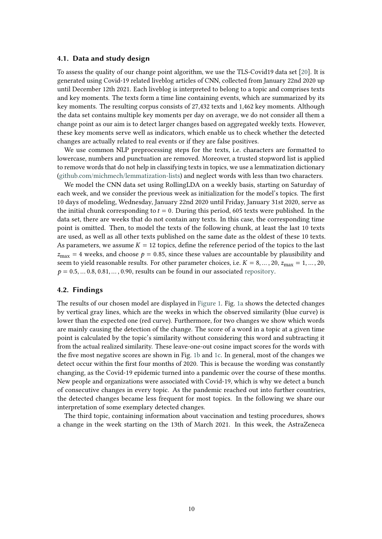#### **4.1. Data and study design**

To assess the quality of our change point algorithm, we use the TLS-Covid19 data set [\[20\]](#page-8-16). It is generated using Covid-19 related liveblog articles of CNN, collected from January 22nd 2020 up until December 12th 2021. Each liveblog is interpreted to belong to a topic and comprises texts and key moments. The texts form a time line containing events, which are summarized by its key moments. The resulting corpus consists of 27,432 texts and 1,462 key moments. Although the data set contains multiple key moments per day on average, we do not consider all them a change point as our aim is to detect larger changes based on aggregated weekly texts. However, these key moments serve well as indicators, which enable us to check whether the detected changes are actually related to real events or if they are false positives.

We use common NLP preprocessing steps for the texts, i.e. characters are formatted to lowercase, numbers and punctuation are removed. Moreover, a trusted stopword list is applied to remove words that do not help in classifying texts in topics, we use a lemmatization dictionary [\(github.com/michmech/lemmatization-lists\)](https://github.com/michmech/lemmatization-lists) and neglect words with less than two characters.

We model the CNN data set using RollingLDA on a weekly basis, starting on Saturday of each week, and we consider the previous week as initialization for the model's topics. The frst 10 days of modeling, Wednesday, January 22nd 2020 until Friday, January 31st 2020, serve as the initial chunk corresponding to  $t=0$ . During this period, 605 texts were published. In the data set, there are weeks that do not contain any texts. In this case, the corresponding time point is omitted. Then, to model the texts of the following chunk, at least the last 10 texts are used, as well as all other texts published on the same date as the oldest of these 10 texts. As parameters, we assume  $K = 12$  topics, define the reference period of the topics to the last  $z_{\text{max}} = 4$  weeks, and choose  $p = 0.85$ , since these values are accountable by plausibility and seem to yield reasonable results. For other parameter choices, i.e.  $K = 8, ..., 20, z_{\text{max}} = 1, ..., 20$ ,  $p = 0.5, \ldots 0.8, 0.81, \ldots, 0.90$ , results can be found in our associated [repository.](https://github.com/JonasRieger/topicalchanges)

#### **4.2. Findings**

The results of our chosen model are displayed in [Figure 1.](#page-6-0) Fig. [1a](#page-6-0) shows the detected changes by vertical gray lines, which are the weeks in which the observed similarity (blue curve) is lower than the expected one (red curve). Furthermore, for two changes we show which words are mainly causing the detection of the change. The score of a word in a topic at a given time point is calculated by the topic's similarity without considering this word and subtracting it from the actual realized similarity. These leave-one-out cosine impact scores for the words with the fve most negative scores are shown in Fig. [1b](#page-6-0) and [1c.](#page-6-0) In general, most of the changes we detect occur within the frst four months of 2020. This is because the wording was constantly changing, as the Covid-19 epidemic turned into a pandemic over the course of these months. New people and organizations were associated with Covid-19, which is why we detect a bunch of consecutive changes in every topic. As the pandemic reached out into further countries, the detected changes became less frequent for most topics. In the following we share our interpretation of some exemplary detected changes.

The third topic, containing information about vaccination and testing procedures, shows a change in the week starting on the 13th of March 2021. In this week, the AstraZeneca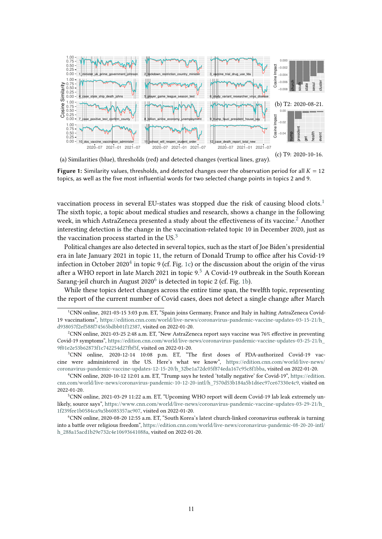<span id="page-6-0"></span>

(a) Similarities (blue), thresholds (red) and detected changes (vertical lines, gray).

**Figure 1:** Similarity values, thresholds, and detected changes over the observation period for all  $K = 12$ topics, as well as the five most influential words for two selected change points in topics 2 and 9.

vaccination process in several EU-states was stopped due the risk of causing blood clots. $1$ The sixth topic, a topic about medical studies and research, shows a change in the following week, in which AstraZeneca presented a study about the effectiveness of its vaccine.<sup>2</sup> Another interesting detection is the change in the vaccination-related topic 10 in December 2020, just as the vaccination process started in the  $US^3$  $US^3$ 

Political changes are also detected in several topics, such as the start of Joe Biden's presidential era in late January 2021 in topic 11, the return of Donald Trump to office after his Covid-19 infection in October 2020<sup>[4](#page-6-4)</sup> in topic 9 (cf. Fig. [1c\)](#page-6-0) or the discussion about the origin of the virus after a WHO report in late March 2021 in topic  $9.5$  $9.5$  A Covid-19 outbreak in the South Korean Sarang-jeil church in August  $2020^6$  $2020^6$  is detected in topic 2 (cf. Fig. [1b\)](#page-6-0).

While these topics detect changes across the entire time span, the twelfh topic, representing the report of the current number of Covid cases, does not detect a single change afer March

<span id="page-6-1"></span><sup>1</sup> CNN online, 2021-03-15 3:03 p.m. ET, "Spain joins Germany, France and Italy in halting AstraZeneca Covid-19 vaccinations", [https://edition.cnn.com/world/live-news/coronavirus-pandemic-vaccine-updates-03-15-21/h\\_](https://edition.cnn.com/world/live-news/coronavirus-pandemic-vaccine-updates-03-15-21/h_d938057f2ef588f74565bdbb01f12387) [d938057f2ef588f74565bdbb01f12387,](https://edition.cnn.com/world/live-news/coronavirus-pandemic-vaccine-updates-03-15-21/h_d938057f2ef588f74565bdbb01f12387) visited on 2022-01-20.

<span id="page-6-2"></span><sup>2</sup> CNN online, 2021-03-25 2:48 a.m. ET, "New AstraZeneca report says vaccine was 76% efective in preventing Covid-19 symptoms", [https://edition.cnn.com/world/live-news/coronavirus-pandemic-vaccine-updates-03-25-21/h\\_](https://edition.cnn.com/world/live-news/coronavirus-pandemic-vaccine-updates-03-25-21/h_9f01e2e53b62873f1c742254d27fbf5f) [9f01e2e53b62873f1c742254d27fbf5f,](https://edition.cnn.com/world/live-news/coronavirus-pandemic-vaccine-updates-03-25-21/h_9f01e2e53b62873f1c742254d27fbf5f) visited on 2022-01-20.

<span id="page-6-3"></span><sup>3</sup> CNN online, 2020-12-14 10:08 p.m. ET, "The frst doses of FDA-authorized Covid-19 vaccine were administered in the US. Here's what we know", [https://edition.cnn.com/world/live-news/](https://edition.cnn.com/world/live-news/coronavirus-pandemic-vaccine-updates-12-15-20/h_32be1a72dc05f874eda167c95c8f1bba) [coronavirus-pandemic-vaccine-updates-12-15-20/h\\_32be1a72dc05f874eda167c95c8f1bba,](https://edition.cnn.com/world/live-news/coronavirus-pandemic-vaccine-updates-12-15-20/h_32be1a72dc05f874eda167c95c8f1bba) visited on 2022-01-20.

<span id="page-6-4"></span><sup>4</sup> CNN online, 2020-10-12 12:01 a.m. ET, "Trump says he tested 'totally negative' for Covid-19", [https://edition.](https://edition.cnn.com/world/live-news/coronavirus-pandemic-10-12-20-intl/h_7570d53b184a5b1d6ec97ce67330e4c9) [cnn.com/world/live-news/coronavirus-pandemic-10-12-20-intl/h\\_7570d53b184a5b1d6ec97ce67330e4c9,](https://edition.cnn.com/world/live-news/coronavirus-pandemic-10-12-20-intl/h_7570d53b184a5b1d6ec97ce67330e4c9) visited on 2022-01-20.

<span id="page-6-5"></span><sup>5</sup> CNN online, 2021-03-29 11:22 a.m. ET, "Upcoming WHO report will deem Covid-19 lab leak extremely unlikely, source says", [https://www.cnn.com/world/live-news/coronavirus-pandemic-vaccine-updates-03-29-21/h\\_](https://www.cnn.com/world/live-news/coronavirus-pandemic-vaccine-updates-03-29-21/h_1f239fee1b0584ca9a5b6085357ac907) [1f239fee1b0584ca9a5b6085357ac907,](https://www.cnn.com/world/live-news/coronavirus-pandemic-vaccine-updates-03-29-21/h_1f239fee1b0584ca9a5b6085357ac907) visited on 2022-01-20.

<span id="page-6-6"></span><sup>6</sup> CNN online, 2020-08-20 12:55 a.m. ET, "South Korea's latest church-linked coronavirus outbreak is turning into a battle over religious freedom", [https://edition.cnn.com/world/live-news/coronavirus-pandemic-08-20-20-intl/](https://edition.cnn.com/world/live-news/coronavirus-pandemic-08-20-20-intl/h_288a15acd1b29e732c4e10693641088a) [h\\_288a15acd1b29e732c4e10693641088a,](https://edition.cnn.com/world/live-news/coronavirus-pandemic-08-20-20-intl/h_288a15acd1b29e732c4e10693641088a) visited on 2022-01-20.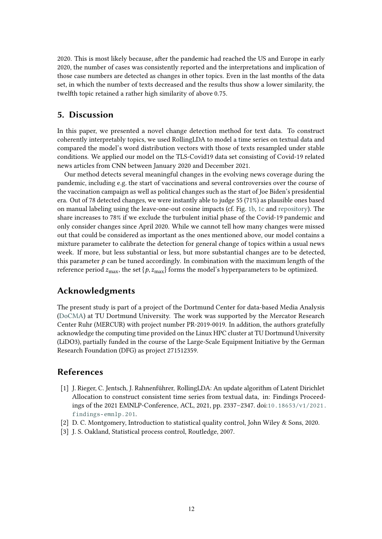2020. This is most likely because, afer the pandemic had reached the US and Europe in early 2020, the number of cases was consistently reported and the interpretations and implication of those case numbers are detected as changes in other topics. Even in the last months of the data set, in which the number of texts decreased and the results thus show a lower similarity, the twelfh topic retained a rather high similarity of above 0.75.

### **5. Discussion**

In this paper, we presented a novel change detection method for text data. To construct coherently interpretably topics, we used RollingLDA to model a time series on textual data and compared the model's word distribution vectors with those of texts resampled under stable conditions. We applied our model on the TLS-Covid19 data set consisting of Covid-19 related news articles from CNN between January 2020 and December 2021.

Our method detects several meaningful changes in the evolving news coverage during the pandemic, including e.g. the start of vaccinations and several controversies over the course of the vaccination campaign as well as political changes such as the start of Joe Biden's presidential era. Out of 78 detected changes, we were instantly able to judge 55 (71%) as plausible ones based on manual labeling using the leave-one-out cosine impacts (cf. Fig. [1b,](#page-6-0) [1c](#page-6-0) and [repository\)](https://github.com/JonasRieger/topicalchanges). The share increases to 78% if we exclude the turbulent initial phase of the Covid-19 pandemic and only consider changes since April 2020. While we cannot tell how many changes were missed out that could be considered as important as the ones mentioned above, our model contains a mixture parameter to calibrate the detection for general change of topics within a usual news week. If more, but less substantial or less, but more substantial changes are to be detected, this parameter  $p$  can be tuned accordingly. In combination with the maximum length of the reference period  $z_{\text{max}}$ , the set { $p, z_{\text{max}}$ } forms the model's hyperparameters to be optimized.

# **Acknowledgments**

The present study is part of a project of the Dortmund Center for data-based Media Analysis [\(DoCMA\)](https://docma.tu-dortmund.de/) at TU Dortmund University. The work was supported by the Mercator Research Center Ruhr (MERCUR) with project number PR-2019-0019. In addition, the authors gratefully acknowledge the computing time provided on the Linux HPC cluster at TU Dortmund University (LiDO3), partially funded in the course of the Large-Scale Equipment Initiative by the German Research Foundation (DFG) as project 271512359.

## **References**

- <span id="page-7-2"></span>[1] J. Rieger, C. Jentsch, J. Rahnenführer, RollingLDA: An update algorithm of Latent Dirichlet Allocation to construct consistent time series from textual data, in: Findings Proceedings of the 2021 EMNLP-Conference, ACL, 2021, pp. 2337–2347. doi:[10.18653/v1/2021.](http://dx.doi.org/10.18653/v1/2021.findings-emnlp.201) [findings-emnlp.201](http://dx.doi.org/10.18653/v1/2021.findings-emnlp.201).
- <span id="page-7-0"></span>[2] D. C. Montgomery, Introduction to statistical quality control, John Wiley & Sons, 2020.
- <span id="page-7-1"></span>[3] J. S. Oakland, Statistical process control, Routledge, 2007.